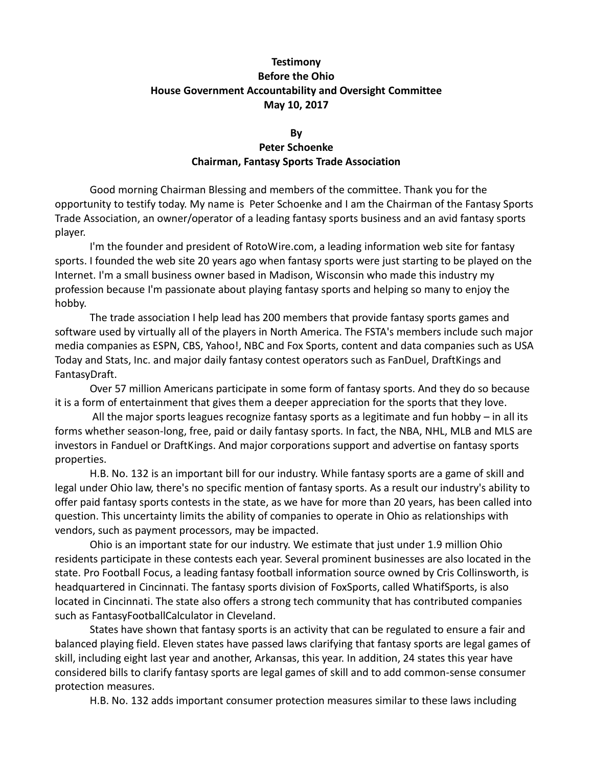## **Testimony Before the Ohio House Government Accountability and Oversight Committee May 10, 2017**

## **By Peter Schoenke Chairman, Fantasy Sports Trade Association**

Good morning Chairman Blessing and members of the committee. Thank you for the opportunity to testify today. My name is Peter Schoenke and I am the Chairman of the Fantasy Sports Trade Association, an owner/operator of a leading fantasy sports business and an avid fantasy sports player.

I'm the founder and president of RotoWire.com, a leading information web site for fantasy sports. I founded the web site 20 years ago when fantasy sports were just starting to be played on the Internet. I'm a small business owner based in Madison, Wisconsin who made this industry my profession because I'm passionate about playing fantasy sports and helping so many to enjoy the hobby.

The trade association I help lead has 200 members that provide fantasy sports games and software used by virtually all of the players in North America. The FSTA's members include such major media companies as ESPN, CBS, Yahoo!, NBC and Fox Sports, content and data companies such as USA Today and Stats, Inc. and major daily fantasy contest operators such as FanDuel, DraftKings and FantasyDraft.

Over 57 million Americans participate in some form of fantasy sports. And they do so because it is a form of entertainment that gives them a deeper appreciation for the sports that they love.

All the major sports leagues recognize fantasy sports as a legitimate and fun hobby – in all its forms whether season-long, free, paid or daily fantasy sports. In fact, the NBA, NHL, MLB and MLS are investors in Fanduel or DraftKings. And major corporations support and advertise on fantasy sports properties.

H.B. No. 132 is an important bill for our industry. While fantasy sports are a game of skill and legal under Ohio law, there's no specific mention of fantasy sports. As a result our industry's ability to offer paid fantasy sports contests in the state, as we have for more than 20 years, has been called into question. This uncertainty limits the ability of companies to operate in Ohio as relationships with vendors, such as payment processors, may be impacted.

Ohio is an important state for our industry. We estimate that just under 1.9 million Ohio residents participate in these contests each year. Several prominent businesses are also located in the state. Pro Football Focus, a leading fantasy football information source owned by Cris Collinsworth, is headquartered in Cincinnati. The fantasy sports division of FoxSports, called WhatifSports, is also located in Cincinnati. The state also offers a strong tech community that has contributed companies such as FantasyFootballCalculator in Cleveland.

States have shown that fantasy sports is an activity that can be regulated to ensure a fair and balanced playing field. Eleven states have passed laws clarifying that fantasy sports are legal games of skill, including eight last year and another, Arkansas, this year. In addition, 24 states this year have considered bills to clarify fantasy sports are legal games of skill and to add common-sense consumer protection measures.

H.B. No. 132 adds important consumer protection measures similar to these laws including